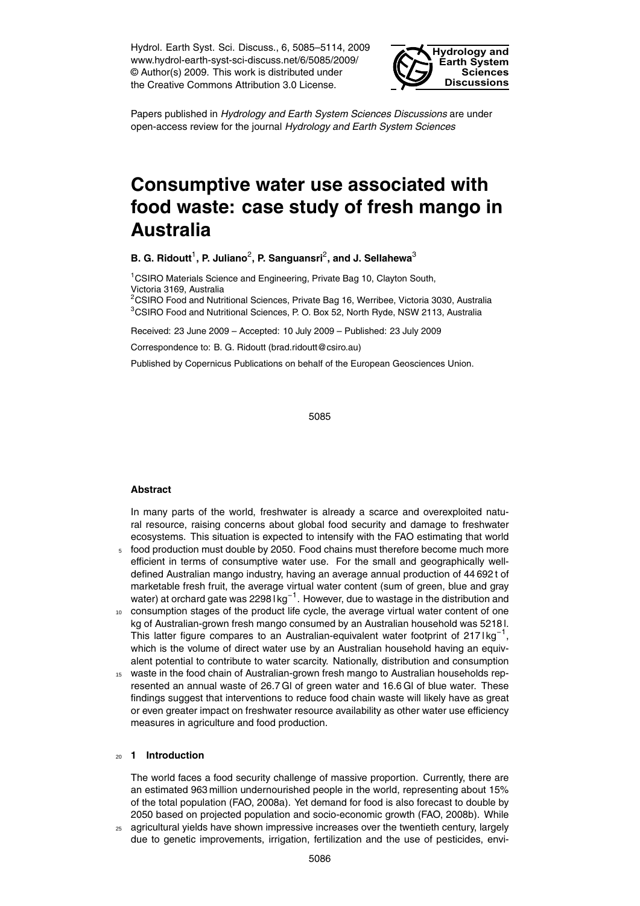Hydrol. Earth Syst. Sci. Discuss., 6, 5085–5114, 2009 www.hydrol-earth-syst-sci-discuss.net/6/5085/2009/ © Author(s) 2009. This work is distributed under the Creative Commons Attribution 3.0 License.



Papers published in *Hydrology and Earth System Sciences Discussions* are under open-access review for the journal *Hydrology and Earth System Sciences*

# **Consumptive water use associated with food waste: case study of fresh mango in Australia**

**B. G. Ridoutt<sup>1</sup>, P. Juliano<sup>2</sup>, P. Sanguansri<sup>2</sup>, and J. Sellahewa<sup>3</sup>** 

<sup>1</sup>CSIRO Materials Science and Engineering, Private Bag 10, Clayton South, Victoria 3169, Australia

<sup>2</sup>CSIRO Food and Nutritional Sciences, Private Bag 16, Werribee, Victoria 3030, Australia <sup>3</sup>CSIRO Food and Nutritional Sciences, P. O. Box 52, North Ryde, NSW 2113, Australia

Received: 23 June 2009 – Accepted: 10 July 2009 – Published: 23 July 2009

Correspondence to: B. G. Ridoutt (brad.ridoutt@csiro.au)

Published by Copernicus Publications on behalf of the European Geosciences Union.

5085

#### **Abstract**

In many parts of the world, freshwater is already a scarce and overexploited natural resource, raising concerns about global food security and damage to freshwater ecosystems. This situation is expected to intensify with the FAO estimating that world <sup>5</sup> food production must double by 2050. Food chains must therefore become much more

- efficient in terms of consumptive water use. For the small and geographically welldefined Australian mango industry, having an average annual production of 44 692 t of marketable fresh fruit, the average virtual water content (sum of green, blue and gray water) at orchard gate was 2298 l kg<sup>-1</sup>. However, due to wastage in the distribution and
- <sup>10</sup> consumption stages of the product life cycle, the average virtual water content of one kg of Australian-grown fresh mango consumed by an Australian household was 5218 l. This latter figure compares to an Australian-equivalent water footprint of 217 lkg<sup>-1</sup>, which is the volume of direct water use by an Australian household having an equivalent potential to contribute to water scarcity. Nationally, distribution and consumption
- <sup>15</sup> waste in the food chain of Australian-grown fresh mango to Australian households represented an annual waste of 26.7 Gl of green water and 16.6 Gl of blue water. These findings suggest that interventions to reduce food chain waste will likely have as great or even greater impact on freshwater resource availability as other water use efficiency measures in agriculture and food production.

#### <sup>20</sup> **1 Introduction**

The world faces a food security challenge of massive proportion. Currently, there are an estimated 963 million undernourished people in the world, representing about 15% of the total population (FAO, 2008a). Yet demand for food is also forecast to double by 2050 based on projected population and socio-economic growth (FAO, 2008b). While

<sub>25</sub> agricultural yields have shown impressive increases over the twentieth century, largely due to genetic improvements, irrigation, fertilization and the use of pesticides, envi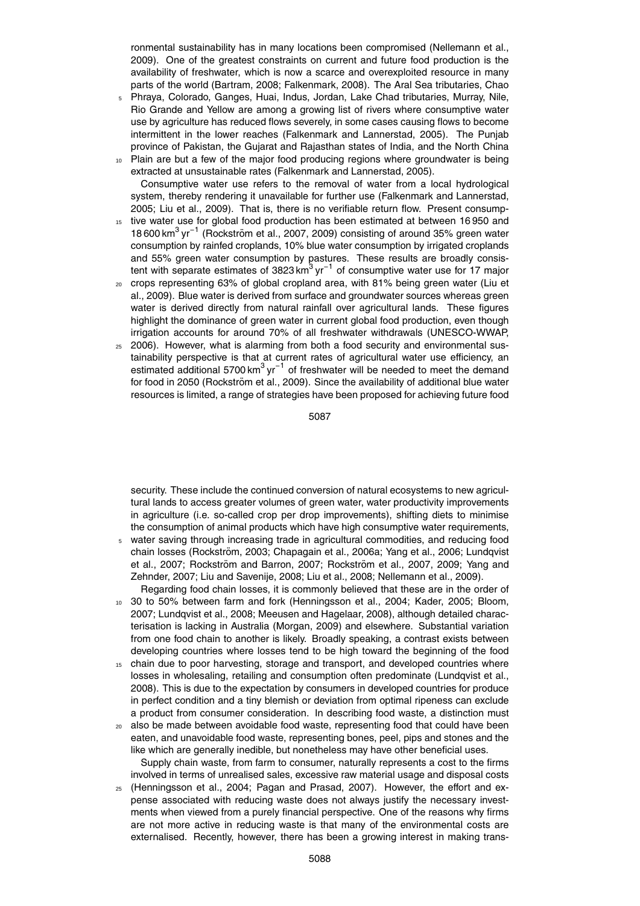ronmental sustainability has in many locations been compromised (Nellemann et al., 2009). One of the greatest constraints on current and future food production is the availability of freshwater, which is now a scarce and overexploited resource in many parts of the world (Bartram, 2008; Falkenmark, 2008). The Aral Sea tributaries, Chao

- <sup>5</sup> Phraya, Colorado, Ganges, Huai, Indus, Jordan, Lake Chad tributaries, Murray, Nile, Rio Grande and Yellow are among a growing list of rivers where consumptive water use by agriculture has reduced flows severely, in some cases causing flows to become intermittent in the lower reaches (Falkenmark and Lannerstad, 2005). The Punjab province of Pakistan, the Gujarat and Rajasthan states of India, and the North China
- 10 Plain are but a few of the major food producing regions where groundwater is being extracted at unsustainable rates (Falkenmark and Lannerstad, 2005). Consumptive water use refers to the removal of water from a local hydrological system, thereby rendering it unavailable for further use (Falkenmark and Lannerstad, 2005; Liu et al., 2009). That is, there is no verifiable return flow. Present consump-
- <sup>15</sup> tive water use for global food production has been estimated at between 16 950 and 18 600 km<sup>3</sup> yr<sup>-1</sup> (Rockström et al., 2007, 2009) consisting of around 35% green water consumption by rainfed croplands, 10% blue water consumption by irrigated croplands and 55% green water consumption by pastures. These results are broadly consistent with separate estimates of 3823 km $^3$  yr<sup>-1</sup> of consumptive water use for 17 major
- <sup>20</sup> crops representing 63% of global cropland area, with 81% being green water (Liu et al., 2009). Blue water is derived from surface and groundwater sources whereas green water is derived directly from natural rainfall over agricultural lands. These figures highlight the dominance of green water in current global food production, even though irrigation accounts for around 70% of all freshwater withdrawals (UNESCO-WWAP,
- $25$  2006). However, what is alarming from both a food security and environmental sustainability perspective is that at current rates of agricultural water use efficiency, an estimated additional 5700 km<sup>3</sup> yr<sup>-1</sup> of freshwater will be needed to meet the demand for food in 2050 (Rockström et al., 2009). Since the availability of additional blue water resources is limited, a range of strategies have been proposed for achieving future food

5087

security. These include the continued conversion of natural ecosystems to new agricultural lands to access greater volumes of green water, water productivity improvements in agriculture (i.e. so-called crop per drop improvements), shifting diets to minimise the consumption of animal products which have high consumptive water requirements,

<sup>5</sup> water saving through increasing trade in agricultural commodities, and reducing food chain losses (Rockström, 2003; Chapagain et al., 2006a; Yang et al., 2006; Lundqvist et al., 2007; Rockström and Barron, 2007; Rockström et al., 2007, 2009; Yang and Zehnder, 2007; Liu and Savenije, 2008; Liu et al., 2008; Nellemann et al., 2009). Regarding food chain losses, it is commonly believed that these are in the order of

<sup>10</sup> 30 to 50% between farm and fork (Henningsson et al., 2004; Kader, 2005; Bloom, 2007; Lundqvist et al., 2008; Meeusen and Hagelaar, 2008), although detailed characterisation is lacking in Australia (Morgan, 2009) and elsewhere. Substantial variation from one food chain to another is likely. Broadly speaking, a contrast exists between developing countries where losses tend to be high toward the beginning of the food

- 15 chain due to poor harvesting, storage and transport, and developed countries where losses in wholesaling, retailing and consumption often predominate (Lundqvist et al., 2008). This is due to the expectation by consumers in developed countries for produce in perfect condition and a tiny blemish or deviation from optimal ripeness can exclude a product from consumer consideration. In describing food waste, a distinction must
- <sup>20</sup> also be made between avoidable food waste, representing food that could have been eaten, and unavoidable food waste, representing bones, peel, pips and stones and the like which are generally inedible, but nonetheless may have other beneficial uses. Supply chain waste, from farm to consumer, naturally represents a cost to the firms

involved in terms of unrealised sales, excessive raw material usage and disposal costs <sup>25</sup> (Henningsson et al., 2004; Pagan and Prasad, 2007). However, the effort and expense associated with reducing waste does not always justify the necessary investments when viewed from a purely financial perspective. One of the reasons why firms

are not more active in reducing waste is that many of the environmental costs are externalised. Recently, however, there has been a growing interest in making trans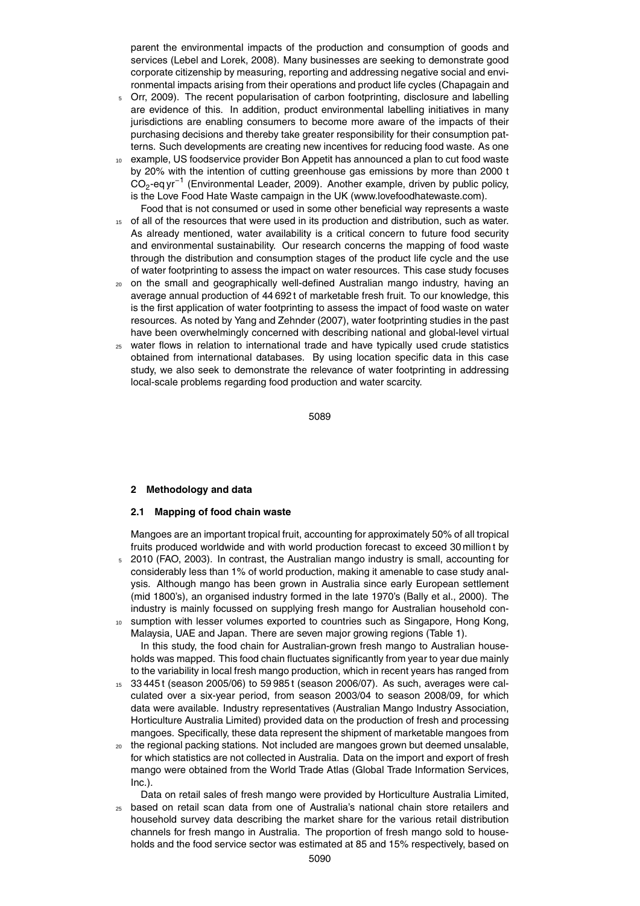parent the environmental impacts of the production and consumption of goods and services (Lebel and Lorek, 2008). Many businesses are seeking to demonstrate good corporate citizenship by measuring, reporting and addressing negative social and environmental impacts arising from their operations and product life cycles (Chapagain and

- <sup>5</sup> Orr, 2009). The recent popularisation of carbon footprinting, disclosure and labelling are evidence of this. In addition, product environmental labelling initiatives in many jurisdictions are enabling consumers to become more aware of the impacts of their purchasing decisions and thereby take greater responsibility for their consumption patterns. Such developments are creating new incentives for reducing food waste. As one
- <sup>10</sup> example, US foodservice provider Bon Appetit has announced a plan to cut food waste by 20% with the intention of cutting greenhouse gas emissions by more than 2000 t CO<sub>2</sub>-eq yr<sup>-1</sup> (Environmental Leader, 2009). Another example, driven by public policy, is the Love Food Hate Waste campaign in the UK (www.lovefoodhatewaste.com).
- Food that is not consumed or used in some other beneficial way represents a waste <sup>15</sup> of all of the resources that were used in its production and distribution, such as water. As already mentioned, water availability is a critical concern to future food security and environmental sustainability. Our research concerns the mapping of food waste through the distribution and consumption stages of the product life cycle and the use of water footprinting to assess the impact on water resources. This case study focuses
- <sup>20</sup> on the small and geographically well-defined Australian mango industry, having an average annual production of 44 692 t of marketable fresh fruit. To our knowledge, this is the first application of water footprinting to assess the impact of food waste on water resources. As noted by Yang and Zehnder (2007), water footprinting studies in the past have been overwhelmingly concerned with describing national and global-level virtual
- <sup>25</sup> water flows in relation to international trade and have typically used crude statistics obtained from international databases. By using location specific data in this case study, we also seek to demonstrate the relevance of water footprinting in addressing local-scale problems regarding food production and water scarcity.

5089

#### **2 Methodology and data**

#### **2.1 Mapping of food chain waste**

Mangoes are an important tropical fruit, accounting for approximately 50% of all tropical fruits produced worldwide and with world production forecast to exceed 30 million t by

- <sup>5</sup> 2010 (FAO, 2003). In contrast, the Australian mango industry is small, accounting for considerably less than 1% of world production, making it amenable to case study analysis. Although mango has been grown in Australia since early European settlement (mid 1800's), an organised industry formed in the late 1970's (Bally et al., 2000). The industry is mainly focussed on supplying fresh mango for Australian household con-
- <sup>10</sup> sumption with lesser volumes exported to countries such as Singapore, Hong Kong, Malaysia, UAE and Japan. There are seven major growing regions (Table 1). In this study, the food chain for Australian-grown fresh mango to Australian house-

holds was mapped. This food chain fluctuates significantly from year to year due mainly to the variability in local fresh mango production, which in recent years has ranged from

- $15$  33 445 t (season 2005/06) to 59 985 t (season 2006/07). As such, averages were calculated over a six-year period, from season 2003/04 to season 2008/09, for which data were available. Industry representatives (Australian Mango Industry Association, Horticulture Australia Limited) provided data on the production of fresh and processing mangoes. Specifically, these data represent the shipment of marketable mangoes from
- <sup>20</sup> the regional packing stations. Not included are mangoes grown but deemed unsalable, for which statistics are not collected in Australia. Data on the import and export of fresh mango were obtained from the World Trade Atlas (Global Trade Information Services, Inc.).
- Data on retail sales of fresh mango were provided by Horticulture Australia Limited, <sup>25</sup> based on retail scan data from one of Australia's national chain store retailers and household survey data describing the market share for the various retail distribution channels for fresh mango in Australia. The proportion of fresh mango sold to households and the food service sector was estimated at 85 and 15% respectively, based on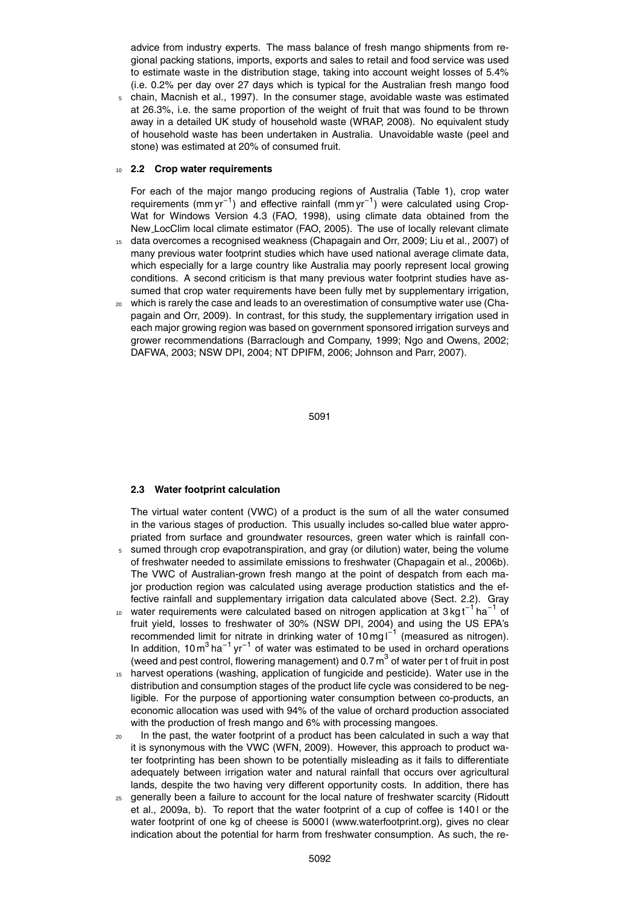advice from industry experts. The mass balance of fresh mango shipments from regional packing stations, imports, exports and sales to retail and food service was used to estimate waste in the distribution stage, taking into account weight losses of 5.4% (i.e. 0.2% per day over 27 days which is typical for the Australian fresh mango food

<sup>5</sup> chain, Macnish et al., 1997). In the consumer stage, avoidable waste was estimated at 26.3%, i.e. the same proportion of the weight of fruit that was found to be thrown away in a detailed UK study of household waste (WRAP, 2008). No equivalent study of household waste has been undertaken in Australia. Unavoidable waste (peel and stone) was estimated at 20% of consumed fruit.

### <sup>10</sup> **2.2 Crop water requirements**

For each of the major mango producing regions of Australia (Table 1), crop water requirements (mm yr<sup>-1</sup>) and effective rainfall (mm yr<sup>-1</sup>) were calculated using Crop-Wat for Windows Version 4.3 (FAO, 1998), using climate data obtained from the New LocClim local climate estimator (FAO, 2005). The use of locally relevant climate

- <sup>15</sup> data overcomes a recognised weakness (Chapagain and Orr, 2009; Liu et al., 2007) of many previous water footprint studies which have used national average climate data, which especially for a large country like Australia may poorly represent local growing conditions. A second criticism is that many previous water footprint studies have assumed that crop water requirements have been fully met by supplementary irrigation,
- $20$  which is rarely the case and leads to an overestimation of consumptive water use (Chapagain and Orr, 2009). In contrast, for this study, the supplementary irrigation used in each major growing region was based on government sponsored irrigation surveys and grower recommendations (Barraclough and Company, 1999; Ngo and Owens, 2002; DAFWA, 2003; NSW DPI, 2004; NT DPIFM, 2006; Johnson and Parr, 2007).

5091

#### **2.3 Water footprint calculation**

The virtual water content (VWC) of a product is the sum of all the water consumed in the various stages of production. This usually includes so-called blue water appropriated from surface and groundwater resources, green water which is rainfall con-<sup>5</sup> sumed through crop evapotranspiration, and gray (or dilution) water, being the volume

- of freshwater needed to assimilate emissions to freshwater (Chapagain et al., 2006b). The VWC of Australian-grown fresh mango at the point of despatch from each major production region was calculated using average production statistics and the effective rainfall and supplementary irrigation data calculated above (Sect. 2.2). Gray
- 10 water requirements were calculated based on nitrogen application at 3 kg t<sup>-1'</sup>ha<sup>-1</sup> of fruit yield, losses to freshwater of 30% (NSW DPI, 2004) and using the US EPA's recommended limit for nitrate in drinking water of 10 mg l<sup>-1</sup> (measured as nitrogen). In addition, 10  $m^3$  ha<sup>-1</sup> yr<sup>-1</sup> of water was estimated to be used in orchard operations (weed and pest control, flowering management) and 0.7  $\text{m}^{3}$  of water per t of fruit in post
- <sup>15</sup> harvest operations (washing, application of fungicide and pesticide). Water use in the distribution and consumption stages of the product life cycle was considered to be negligible. For the purpose of apportioning water consumption between co-products, an economic allocation was used with 94% of the value of orchard production associated with the production of fresh mango and 6% with processing mangoes.
- <sup>20</sup> In the past, the water footprint of a product has been calculated in such a way that it is synonymous with the VWC (WFN, 2009). However, this approach to product water footprinting has been shown to be potentially misleading as it fails to differentiate adequately between irrigation water and natural rainfall that occurs over agricultural lands, despite the two having very different opportunity costs. In addition, there has
- <sup>25</sup> generally been a failure to account for the local nature of freshwater scarcity (Ridoutt et al., 2009a, b). To report that the water footprint of a cup of coffee is 140 l or the water footprint of one kg of cheese is 50001 (www.waterfootprint.org), gives no clear indication about the potential for harm from freshwater consumption. As such, the re-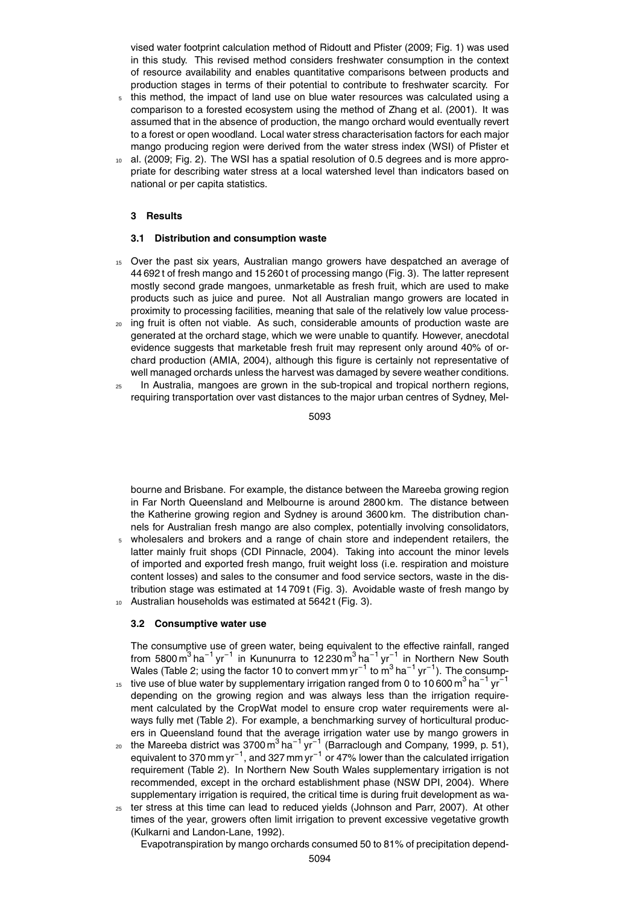vised water footprint calculation method of Ridoutt and Pfister (2009; Fig. 1) was used in this study. This revised method considers freshwater consumption in the context of resource availability and enables quantitative comparisons between products and production stages in terms of their potential to contribute to freshwater scarcity. For

- <sup>5</sup> this method, the impact of land use on blue water resources was calculated using a comparison to a forested ecosystem using the method of Zhang et al. (2001). It was assumed that in the absence of production, the mango orchard would eventually revert to a forest or open woodland. Local water stress characterisation factors for each major mango producing region were derived from the water stress index (WSI) of Pfister et
- al. (2009; Fig. 2). The WSI has a spatial resolution of 0.5 degrees and is more appropriate for describing water stress at a local watershed level than indicators based on national or per capita statistics.

#### **3 Results**

#### **3.1 Distribution and consumption waste**

- <sup>15</sup> Over the past six years, Australian mango growers have despatched an average of 44 692 t of fresh mango and 15 260 t of processing mango (Fig. 3). The latter represent mostly second grade mangoes, unmarketable as fresh fruit, which are used to make products such as juice and puree. Not all Australian mango growers are located in proximity to processing facilities, meaning that sale of the relatively low value process-
- <sup>20</sup> ing fruit is often not viable. As such, considerable amounts of production waste are generated at the orchard stage, which we were unable to quantify. However, anecdotal evidence suggests that marketable fresh fruit may represent only around 40% of orchard production (AMIA, 2004), although this figure is certainly not representative of well managed orchards unless the harvest was damaged by severe weather conditions.
- <sup>25</sup> In Australia, mangoes are grown in the sub-tropical and tropical northern regions, requiring transportation over vast distances to the major urban centres of Sydney, Mel-

5093

bourne and Brisbane. For example, the distance between the Mareeba growing region in Far North Queensland and Melbourne is around 2800 km. The distance between the Katherine growing region and Sydney is around 3600 km. The distribution channels for Australian fresh mango are also complex, potentially involving consolidators,

<sup>5</sup> wholesalers and brokers and a range of chain store and independent retailers, the latter mainly fruit shops (CDI Pinnacle, 2004). Taking into account the minor levels of imported and exported fresh mango, fruit weight loss (i.e. respiration and moisture content losses) and sales to the consumer and food service sectors, waste in the distribution stage was estimated at 14 709 t (Fig. 3). Avoidable waste of fresh mango by <sup>10</sup> Australian households was estimated at 5642 t (Fig. 3).

# **3.2 Consumptive water use**

The consumptive use of green water, being equivalent to the effective rainfall, ranged from 5800 m<sup>3</sup> ha<sup>-1</sup> yr<sup>-1</sup> in Kununurra to 12 230 m<sup>3</sup> ha<sup>-1</sup> yr<sup>-1</sup> in Northern New South Wales (Table 2; using the factor 10 to convert mm yr<sup>-1</sup> to m<sup>3</sup> ha<sup>-1</sup> yr<sup>-1</sup>). The consump-

- tive use of blue water by supplementary irrigation ranged from 0 to 10 600 m<sup>3</sup> ha<sup>-1</sup> yr<sup>-1</sup> 15 depending on the growing region and was always less than the irrigation requirement calculated by the CropWat model to ensure crop water requirements were always fully met (Table 2). For example, a benchmarking survey of horticultural producers in Queensland found that the average irrigation water use by mango growers in
- <sup>20</sup> the Mareeba district was 3700 m<sup>3</sup> ha<sup>-1</sup> yr<sup>-1</sup> (Barraclough and Company, 1999, p. 51), equivalent to 370 mm yr<sup>-1</sup>, and 327 mm yr<sup>-1</sup> or 47% lower than the calculated irrigation requirement (Table 2). In Northern New South Wales supplementary irrigation is not recommended, except in the orchard establishment phase (NSW DPI, 2004). Where supplementary irrigation is required, the critical time is during fruit development as wa-
- <sup>25</sup> ter stress at this time can lead to reduced yields (Johnson and Parr, 2007). At other times of the year, growers often limit irrigation to prevent excessive vegetative growth (Kulkarni and Landon-Lane, 1992).

Evapotranspiration by mango orchards consumed 50 to 81% of precipitation depend-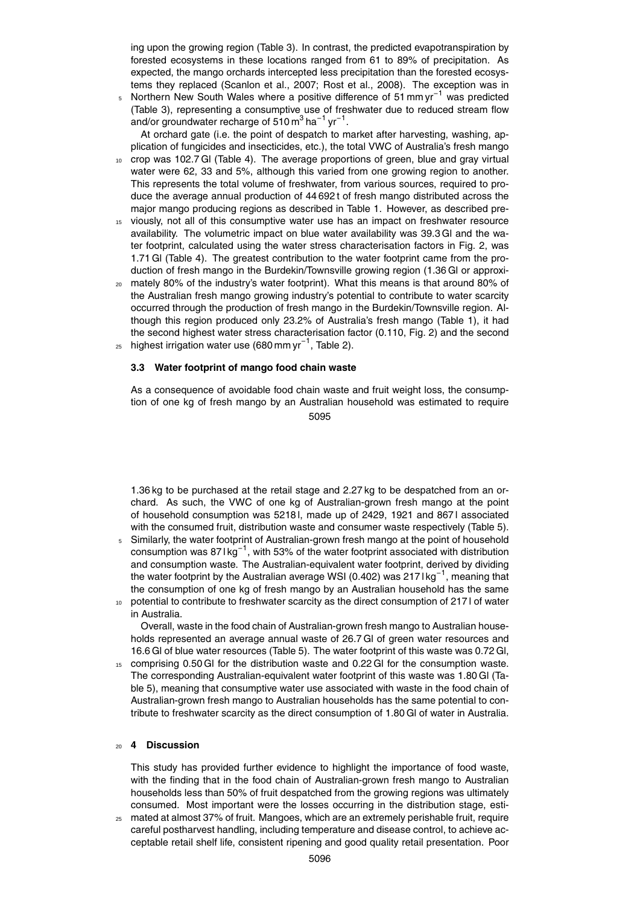ing upon the growing region (Table 3). In contrast, the predicted evapotranspiration by forested ecosystems in these locations ranged from 61 to 89% of precipitation. As expected, the mango orchards intercepted less precipitation than the forested ecosystems they replaced (Scanlon et al., 2007; Rost et al., 2008). The exception was in

5 Northern New South Wales where a positive difference of 51 mm yr<sup>-1</sup> was predicted (Table 3), representing a consumptive use of freshwater due to reduced stream flow and/or groundwater recharge of 510 $\text{m}^3$  ha $^{-1}$  yr $^{-1}$ .

At orchard gate (i.e. the point of despatch to market after harvesting, washing, application of fungicides and insecticides, etc.), the total VWC of Australia's fresh mango

- crop was 102.7 GI (Table 4). The average proportions of green, blue and gray virtual water were 62, 33 and 5%, although this varied from one growing region to another. This represents the total volume of freshwater, from various sources, required to produce the average annual production of 44 692 t of fresh mango distributed across the major mango producing regions as described in Table 1. However, as described pre-
- <sup>15</sup> viously, not all of this consumptive water use has an impact on freshwater resource availability. The volumetric impact on blue water availability was 39.3 Gl and the water footprint, calculated using the water stress characterisation factors in Fig. 2, was 1.71 Gl (Table 4). The greatest contribution to the water footprint came from the production of fresh mango in the Burdekin/Townsville growing region (1.36 Gl or approxi-
- <sup>20</sup> mately 80% of the industry's water footprint). What this means is that around 80% of the Australian fresh mango growing industry's potential to contribute to water scarcity occurred through the production of fresh mango in the Burdekin/Townsville region. Although this region produced only 23.2% of Australia's fresh mango (Table 1), it had the second highest water stress characterisation factor (0.110, Fig. 2) and the second  $_{25}$  highest irrigation water use (680 mm yr<sup>-1</sup>, Table 2).

# **3.3 Water footprint of mango food chain waste**

As a consequence of avoidable food chain waste and fruit weight loss, the consumption of one kg of fresh mango by an Australian household was estimated to require 5095

1.36 kg to be purchased at the retail stage and 2.27 kg to be despatched from an orchard. As such, the VWC of one kg of Australian-grown fresh mango at the point of household consumption was 5218 l, made up of 2429, 1921 and 867 l associated with the consumed fruit, distribution waste and consumer waste respectively (Table 5).

- <sup>5</sup> Similarly, the water footprint of Australian-grown fresh mango at the point of household consumption was 87 l kg<sup>-1</sup>, with 53% of the water footprint associated with distribution and consumption waste. The Australian-equivalent water footprint, derived by dividing the water footprint by the Australian average WSI (0.402) was 2171kg<sup>-1</sup>, meaning that the consumption of one kg of fresh mango by an Australian household has the same
- 10 potential to contribute to freshwater scarcity as the direct consumption of 217 l of water in Australia.

Overall, waste in the food chain of Australian-grown fresh mango to Australian households represented an average annual waste of 26.7 Gl of green water resources and 16.6 Gl of blue water resources (Table 5). The water footprint of this waste was 0.72 Gl,

15 comprising 0.50 Gl for the distribution waste and 0.22 Gl for the consumption waste. The corresponding Australian-equivalent water footprint of this waste was 1.80 Gl (Table 5), meaning that consumptive water use associated with waste in the food chain of Australian-grown fresh mango to Australian households has the same potential to contribute to freshwater scarcity as the direct consumption of 1.80 Gl of water in Australia.

#### <sup>20</sup> **4 Discussion**

This study has provided further evidence to highlight the importance of food waste, with the finding that in the food chain of Australian-grown fresh mango to Australian households less than 50% of fruit despatched from the growing regions was ultimately consumed. Most important were the losses occurring in the distribution stage, esti-

<sup>25</sup> mated at almost 37% of fruit. Mangoes, which are an extremely perishable fruit, require careful postharvest handling, including temperature and disease control, to achieve acceptable retail shelf life, consistent ripening and good quality retail presentation. Poor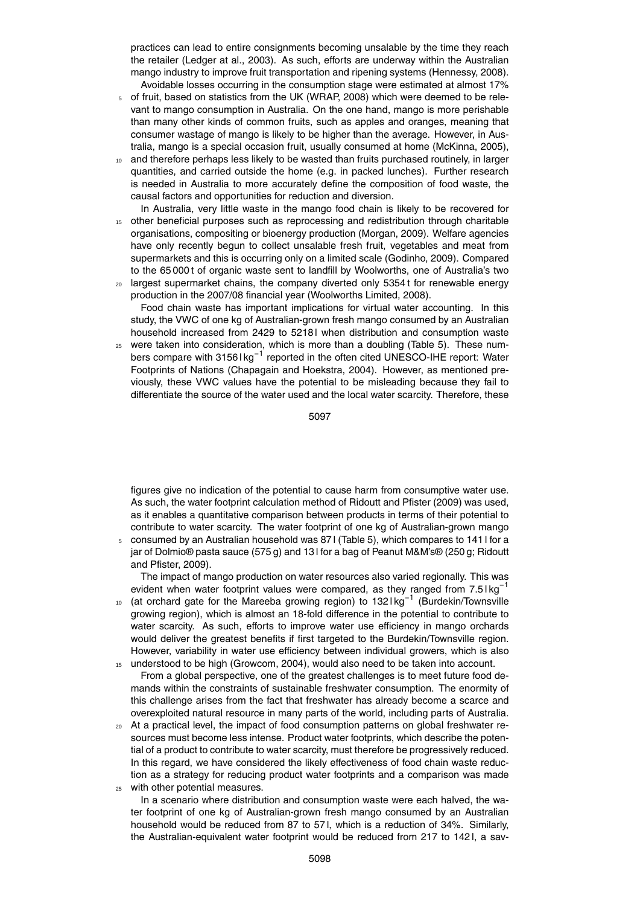practices can lead to entire consignments becoming unsalable by the time they reach the retailer (Ledger at al., 2003). As such, efforts are underway within the Australian mango industry to improve fruit transportation and ripening systems (Hennessy, 2008). Avoidable losses occurring in the consumption stage were estimated at almost 17%

- <sup>5</sup> of fruit, based on statistics from the UK (WRAP, 2008) which were deemed to be relevant to mango consumption in Australia. On the one hand, mango is more perishable than many other kinds of common fruits, such as apples and oranges, meaning that consumer wastage of mango is likely to be higher than the average. However, in Australia, mango is a special occasion fruit, usually consumed at home (McKinna, 2005),
- and therefore perhaps less likely to be wasted than fruits purchased routinely, in larger quantities, and carried outside the home (e.g. in packed lunches). Further research is needed in Australia to more accurately define the composition of food waste, the causal factors and opportunities for reduction and diversion.
- In Australia, very little waste in the mango food chain is likely to be recovered for <sup>15</sup> other beneficial purposes such as reprocessing and redistribution through charitable organisations, compositing or bioenergy production (Morgan, 2009). Welfare agencies have only recently begun to collect unsalable fresh fruit, vegetables and meat from supermarkets and this is occurring only on a limited scale (Godinho, 2009). Compared to the 65 000t of organic waste sent to landfill by Woolworths, one of Australia's two
- <sup>20</sup> largest supermarket chains, the company diverted only 5354 t for renewable energy production in the 2007/08 financial year (Woolworths Limited, 2008).

Food chain waste has important implications for virtual water accounting. In this study, the VWC of one kg of Australian-grown fresh mango consumed by an Australian household increased from 2429 to 52181 when distribution and consumption waste

<sup>25</sup> were taken into consideration, which is more than a doubling (Table 5). These numbers compare with 3156 l kg<sup>-1</sup> reported in the often cited UNESCO-IHE report: Water Footprints of Nations (Chapagain and Hoekstra, 2004). However, as mentioned previously, these VWC values have the potential to be misleading because they fail to differentiate the source of the water used and the local water scarcity. Therefore, these

5097

figures give no indication of the potential to cause harm from consumptive water use. As such, the water footprint calculation method of Ridoutt and Pfister (2009) was used, as it enables a quantitative comparison between products in terms of their potential to contribute to water scarcity. The water footprint of one kg of Australian-grown mango

<sup>5</sup> consumed by an Australian household was 87 l (Table 5), which compares to 141 l for a jar of Dolmio® pasta sauce (575 g) and 13 l for a bag of Peanut M&M's® (250 g; Ridoutt and Pfister, 2009).

The impact of mango production on water resources also varied regionally. This was evident when water footprint values were compared, as they ranged from 7.5 lkg<sup>-1</sup>

- 10 (at orchard gate for the Mareeba growing region) to 132 l kg<sup>-1</sup> (Burdekin/Townsville growing region), which is almost an 18-fold difference in the potential to contribute to water scarcity. As such, efforts to improve water use efficiency in mango orchards would deliver the greatest benefits if first targeted to the Burdekin/Townsville region. However, variability in water use efficiency between individual growers, which is also understood to be high (Growcom, 2004), would also need to be taken into account.
- From a global perspective, one of the greatest challenges is to meet future food demands within the constraints of sustainable freshwater consumption. The enormity of this challenge arises from the fact that freshwater has already become a scarce and overexploited natural resource in many parts of the world, including parts of Australia.
- <sup>20</sup> At a practical level, the impact of food consumption patterns on global freshwater resources must become less intense. Product water footprints, which describe the potential of a product to contribute to water scarcity, must therefore be progressively reduced. In this regard, we have considered the likely effectiveness of food chain waste reduction as a strategy for reducing product water footprints and a comparison was made
- <sup>25</sup> with other potential measures.

In a scenario where distribution and consumption waste were each halved, the water footprint of one kg of Australian-grown fresh mango consumed by an Australian household would be reduced from 87 to 57 l, which is a reduction of 34%. Similarly, the Australian-equivalent water footprint would be reduced from 217 to 142 l, a sav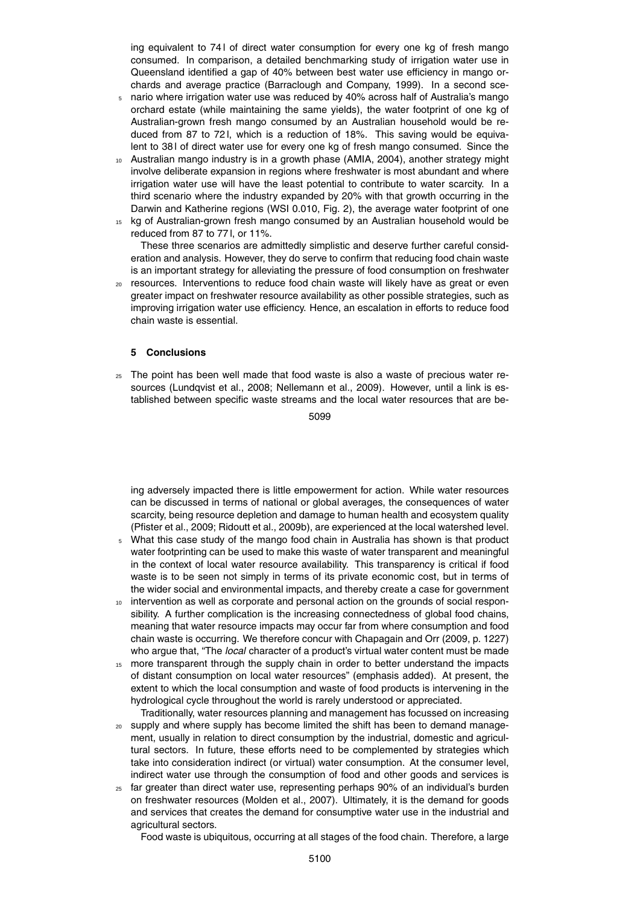ing equivalent to 74 l of direct water consumption for every one kg of fresh mango consumed. In comparison, a detailed benchmarking study of irrigation water use in Queensland identified a gap of 40% between best water use efficiency in mango orchards and average practice (Barraclough and Company, 1999). In a second sce-

- <sup>5</sup> nario where irrigation water use was reduced by 40% across half of Australia's mango orchard estate (while maintaining the same yields), the water footprint of one kg of Australian-grown fresh mango consumed by an Australian household would be reduced from 87 to 72 l, which is a reduction of 18%. This saving would be equivalent to 38 l of direct water use for every one kg of fresh mango consumed. Since the
- <sup>10</sup> Australian mango industry is in a growth phase (AMIA, 2004), another strategy might involve deliberate expansion in regions where freshwater is most abundant and where irrigation water use will have the least potential to contribute to water scarcity. In a third scenario where the industry expanded by 20% with that growth occurring in the Darwin and Katherine regions (WSI 0.010, Fig. 2), the average water footprint of one
- <sup>15</sup> kg of Australian-grown fresh mango consumed by an Australian household would be reduced from 87 to 77 l, or 11%.

These three scenarios are admittedly simplistic and deserve further careful consideration and analysis. However, they do serve to confirm that reducing food chain waste is an important strategy for alleviating the pressure of food consumption on freshwater

<sup>20</sup> resources. Interventions to reduce food chain waste will likely have as great or even greater impact on freshwater resource availability as other possible strategies, such as improving irrigation water use efficiency. Hence, an escalation in efforts to reduce food chain waste is essential.

# **5 Conclusions**

<sup>25</sup> The point has been well made that food waste is also a waste of precious water resources (Lundqvist et al., 2008; Nellemann et al., 2009). However, until a link is established between specific waste streams and the local water resources that are be-

5099

ing adversely impacted there is little empowerment for action. While water resources can be discussed in terms of national or global averages, the consequences of water scarcity, being resource depletion and damage to human health and ecosystem quality (Pfister et al., 2009; Ridoutt et al., 2009b), are experienced at the local watershed level.

- <sup>5</sup> What this case study of the mango food chain in Australia has shown is that product water footprinting can be used to make this waste of water transparent and meaningful in the context of local water resource availability. This transparency is critical if food waste is to be seen not simply in terms of its private economic cost, but in terms of the wider social and environmental impacts, and thereby create a case for government
- <sup>10</sup> intervention as well as corporate and personal action on the grounds of social responsibility. A further complication is the increasing connectedness of global food chains, meaning that water resource impacts may occur far from where consumption and food chain waste is occurring. We therefore concur with Chapagain and Orr (2009, p. 1227) who argue that, "The *local* character of a product's virtual water content must be made
- 15 more transparent through the supply chain in order to better understand the impacts of distant consumption on local water resources" (emphasis added). At present, the extent to which the local consumption and waste of food products is intervening in the hydrological cycle throughout the world is rarely understood or appreciated.

Traditionally, water resources planning and management has focussed on increasing

- <sub>20</sub> supply and where supply has become limited the shift has been to demand management, usually in relation to direct consumption by the industrial, domestic and agricultural sectors. In future, these efforts need to be complemented by strategies which take into consideration indirect (or virtual) water consumption. At the consumer level, indirect water use through the consumption of food and other goods and services is
- <sup>25</sup> far greater than direct water use, representing perhaps 90% of an individual's burden on freshwater resources (Molden et al., 2007). Ultimately, it is the demand for goods and services that creates the demand for consumptive water use in the industrial and agricultural sectors.

Food waste is ubiquitous, occurring at all stages of the food chain. Therefore, a large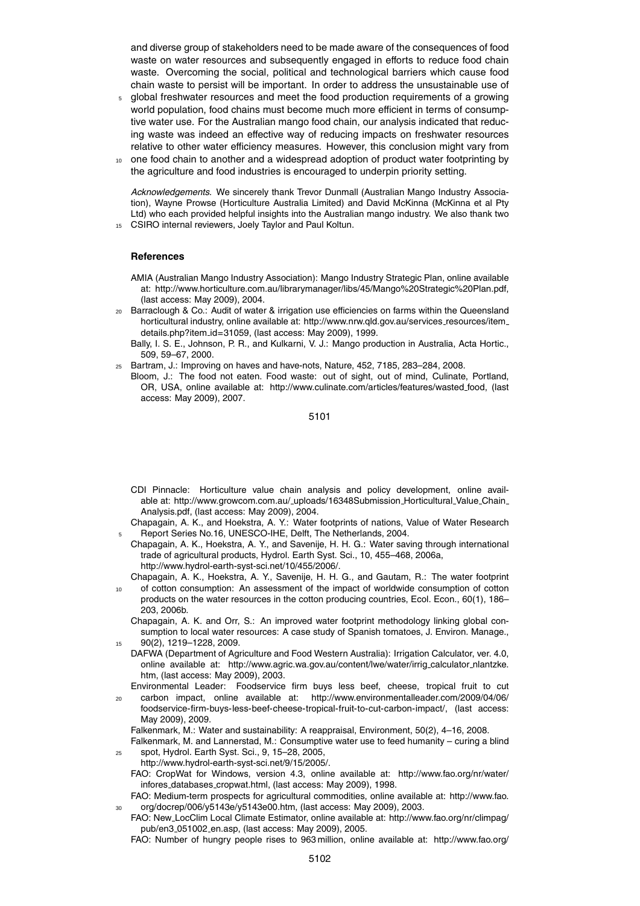and diverse group of stakeholders need to be made aware of the consequences of food waste on water resources and subsequently engaged in efforts to reduce food chain waste. Overcoming the social, political and technological barriers which cause food chain waste to persist will be important. In order to address the unsustainable use of

- <sup>5</sup> global freshwater resources and meet the food production requirements of a growing world population, food chains must become much more efficient in terms of consumptive water use. For the Australian mango food chain, our analysis indicated that reducing waste was indeed an effective way of reducing impacts on freshwater resources relative to other water efficiency measures. However, this conclusion might vary from
- <sup>10</sup> one food chain to another and a widespread adoption of product water footprinting by the agriculture and food industries is encouraged to underpin priority setting.

*Acknowledgements.* We sincerely thank Trevor Dunmall (Australian Mango Industry Association), Wayne Prowse (Horticulture Australia Limited) and David McKinna (McKinna et al Pty Ltd) who each provided helpful insights into the Australian mango industry. We also thank two

<sup>15</sup> CSIRO internal reviewers, Joely Taylor and Paul Koltun.

#### **References**

AMIA (Australian Mango Industry Association): Mango Industry Strategic Plan, online available at: http://www.horticulture.com.au/librarymanager/libs/45/Mango%20Strategic%20Plan.pdf, (last access: May 2009), 2004.

- <sup>20</sup> Barraclough & Co.: Audit of water & irrigation use efficiencies on farms within the Queensland horticultural industry, online available at: http://www.nrw.qld.gov.au/services\_resources/item\_ details.php?item id=31059, (last access: May 2009), 1999.
	- Bally, I. S. E., Johnson, P. R., and Kulkarni, V. J.: Mango production in Australia, Acta Hortic., 509, 59–67, 2000.
- <sup>25</sup> Bartram, J.: Improving on haves and have-nots, Nature, 452, 7185, 283–284, 2008.
- Bloom, J.: The food not eaten. Food waste: out of sight, out of mind, Culinate, Portland, OR, USA, online available at: http://www.culinate.com/articles/features/wasted\_food, (last access: May 2009), 2007.

5101

- CDI Pinnacle: Horticulture value chain analysis and policy development, online available at: http://www.growcom.com.au/\_uploads/16348Submission\_Horticultural\_Value\_Chain\_ Analysis.pdf, (last access: May 2009), 2004.
- Chapagain, A. K., and Hoekstra, A. Y.: Water footprints of nations, Value of Water Research <sup>5</sup> Report Series No.16, UNESCO-IHE, Delft, The Netherlands, 2004.
- Chapagain, A. K., Hoekstra, A. Y., and Savenije, H. H. G.: Water saving through international trade of agricultural products, Hydrol. Earth Syst. Sci., 10, 455–468, 2006a, http://www.hydrol-earth-syst-sci.net/10/455/2006/.
	- Chapagain, A. K., Hoekstra, A. Y., Savenije, H. H. G., and Gautam, R.: The water footprint
- of cotton consumption: An assessment of the impact of worldwide consumption of cotton products on the water resources in the cotton producing countries, Ecol. Econ., 60(1), 186– 203, 2006b.
	- Chapagain, A. K. and Orr, S.: An improved water footprint methodology linking global consumption to local water resources: A case study of Spanish tomatoes, J. Environ. Manage., <sup>15</sup> 90(2), 1219–1228, 2009.
- DAFWA (Department of Agriculture and Food Western Australia): Irrigation Calculator, ver. 4.0, online available at: http://www.agric.wa.gov.au/content/lwe/water/irrig\_calculator\_nlantzke. htm, (last access: May 2009), 2003.
- Environmental Leader: Foodservice firm buys less beef, cheese, tropical fruit to cut <sup>20</sup> carbon impact, online available at: http://www.environmentalleader.com/2009/04/06/
- foodservice-firm-buys-less-beef-cheese-tropical-fruit-to-cut-carbon-impact/, (last access: May 2009), 2009. Falkenmark, M.: Water and sustainability: A reappraisal, Environment, 50(2), 4–16, 2008.

Falkenmark, M. and Lannerstad, M.: Consumptive water use to feed humanity – curing a blind

- <sup>25</sup> spot, Hydrol. Earth Syst. Sci., 9, 15–28, 2005,
	- http://www.hydrol-earth-syst-sci.net/9/15/2005/.
	- FAO: CropWat for Windows, version 4.3, online available at: http://www.fao.org/nr/water/ infores databases cropwat.html, (last access: May 2009), 1998.
- FAO: Medium-term prospects for agricultural commodities, online available at: http://www.fao. <sup>30</sup> org/docrep/006/y5143e/y5143e00.htm, (last access: May 2009), 2003.
- FAO: New LocClim Local Climate Estimator, online available at: http://www.fao.org/nr/climpag/ pub/en3 051002 en.asp, (last access: May 2009), 2005.

FAO: Number of hungry people rises to 963 million, online available at: http://www.fao.org/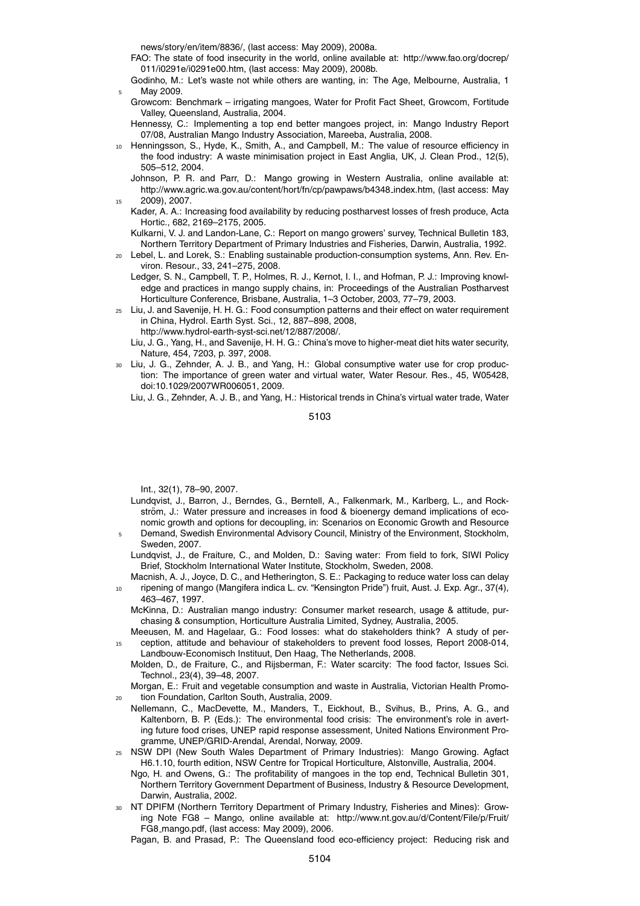news/story/en/item/8836/, (last access: May 2009), 2008a.

- FAO: The state of food insecurity in the world, online available at: http://www.fao.org/docrep/ 011/i0291e/i0291e00.htm, (last access: May 2009), 2008b.
- Godinho, M.: Let's waste not while others are wanting, in: The Age, Melbourne, Australia, 1 May 2009.
- Growcom: Benchmark irrigating mangoes, Water for Profit Fact Sheet, Growcom, Fortitude Valley, Queensland, Australia, 2004.
- Hennessy, C.: Implementing a top end better mangoes project, in: Mango Industry Report 07/08, Australian Mango Industry Association, Mareeba, Australia, 2008.
- <sup>10</sup> Henningsson, S., Hyde, K., Smith, A., and Campbell, M.: The value of resource efficiency in the food industry: A waste minimisation project in East Anglia, UK, J. Clean Prod., 12(5), 505–512, 2004.
	- Johnson, P. R. and Parr, D.: Mango growing in Western Australia, online available at: http://www.agric.wa.gov.au/content/hort/fn/cp/pawpaws/b4348 index.htm, (last access: May 2009), 2007.
	- Kader, A. A.: Increasing food availability by reducing postharvest losses of fresh produce, Acta Hortic., 682, 2169–2175, 2005.
	- Kulkarni, V. J. and Landon-Lane, C.: Report on mango growers' survey, Technical Bulletin 183, Northern Territory Department of Primary Industries and Fisheries, Darwin, Australia, 1992.
- <sup>20</sup> Lebel, L. and Lorek, S.: Enabling sustainable production-consumption systems, Ann. Rev. Environ. Resour., 33, 241–275, 2008.
	- Ledger, S. N., Campbell, T. P., Holmes, R. J., Kernot, I. I., and Hofman, P. J.: Improving knowledge and practices in mango supply chains, in: Proceedings of the Australian Postharvest Horticulture Conference, Brisbane, Australia, 1–3 October, 2003, 77–79, 2003.
- <sup>25</sup> Liu, J. and Savenije, H. H. G.: Food consumption patterns and their effect on water requirement in China, Hydrol. Earth Syst. Sci., 12, 887–898, 2008, http://www.hydrol-earth-syst-sci.net/12/887/2008/.
	- Liu, J. G., Yang, H., and Savenije, H. H. G.: China's move to higher-meat diet hits water security, Nature, 454, 7203, p. 397, 2008.
- <sup>30</sup> Liu, J. G., Zehnder, A. J. B., and Yang, H.: Global consumptive water use for crop production: The importance of green water and virtual water, Water Resour. Res., 45, W05428, doi:10.1029/2007WR006051, 2009.

Liu, J. G., Zehnder, A. J. B., and Yang, H.: Historical trends in China's virtual water trade, Water

5103

Int., 32(1), 78–90, 2007.

- Lundqvist, J., Barron, J., Berndes, G., Berntell, A., Falkenmark, M., Karlberg, L., and Rockström, J.: Water pressure and increases in food & bioenergy demand implications of economic growth and options for decoupling, in: Scenarios on Economic Growth and Resource
- <sup>5</sup> Demand, Swedish Environmental Advisory Council, Ministry of the Environment, Stockholm, Sweden, 2007.
	- Lundqvist, J., de Fraiture, C., and Molden, D.: Saving water: From field to fork, SIWI Policy Brief, Stockholm International Water Institute, Stockholm, Sweden, 2008.
- Macnish, A. J., Joyce, D. C., and Hetherington, S. E.: Packaging to reduce water loss can delay ripening of mango (Mangifera indica L. cv. "Kensington Pride") fruit, Aust. J. Exp. Agr., 37(4), 463–467, 1997.
	- McKinna, D.: Australian mango industry: Consumer market research, usage & attitude, purchasing & consumption, Horticulture Australia Limited, Sydney, Australia, 2005.
- Meeusen, M. and Hagelaar, G.: Food losses: what do stakeholders think? A study of per-<sup>15</sup> ception, attitude and behaviour of stakeholders to prevent food losses, Report 2008-014, Landbouw-Economisch Instituut, Den Haag, The Netherlands, 2008.
	- Molden, D., de Fraiture, C., and Rijsberman, F.: Water scarcity: The food factor, Issues Sci. Technol., 23(4), 39–48, 2007.
- Morgan, E.: Fruit and vegetable consumption and waste in Australia, Victorian Health Promo-<sup>20</sup> tion Foundation, Carlton South, Australia, 2009.
- Nellemann, C., MacDevette, M., Manders, T., Eickhout, B., Svihus, B., Prins, A. G., and Kaltenborn, B. P. (Eds.): The environmental food crisis: The environment's role in averting future food crises, UNEP rapid response assessment, United Nations Environment Programme, UNEP/GRID-Arendal, Arendal, Norway, 2009.
- <sup>25</sup> NSW DPI (New South Wales Department of Primary Industries): Mango Growing. Agfact H6.1.10, fourth edition, NSW Centre for Tropical Horticulture, Alstonville, Australia, 2004.
	- Ngo, H. and Owens, G.: The profitability of mangoes in the top end, Technical Bulletin 301, Northern Territory Government Department of Business, Industry & Resource Development, Darwin, Australia, 2002.
- <sup>30</sup> NT DPIFM (Northern Territory Department of Primary Industry, Fisheries and Mines): Growing Note FG8 – Mango, online available at: http://www.nt.gov.au/d/Content/File/p/Fruit/ FG8 mango.pdf, (last access: May 2009), 2006.

Pagan, B. and Prasad, P.: The Queensland food eco-efficiency project: Reducing risk and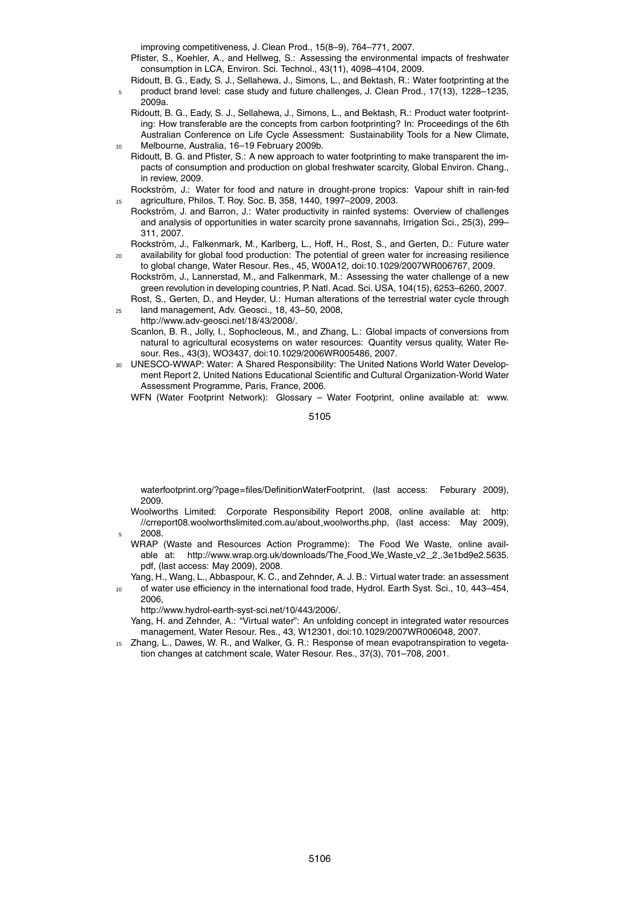improving competitiveness, J. Clean Prod., 15(8–9), 764–771, 2007.

- Pfister, S., Koehler, A., and Hellweg, S.: Assessing the environmental impacts of freshwater consumption in LCA, Environ. Sci. Technol., 43(11), 4098–4104, 2009.
- Ridoutt, B. G., Eady, S. J., Sellahewa, J., Simons, L., and Bektash, R.: Water footprinting at the <sup>5</sup> product brand level: case study and future challenges, J. Clean Prod., 17(13), 1228–1235, 2009a.
- Ridoutt, B. G., Eady, S. J., Sellahewa, J., Simons, L., and Bektash, R.: Product water footprinting: How transferable are the concepts from carbon footprinting? In: Proceedings of the 6th Australian Conference on Life Cycle Assessment: Sustainability Tools for a New Climate, <sup>10</sup> Melbourne, Australia, 16–19 February 2009b.
- Ridoutt, B. G. and Pfister, S.: A new approach to water footprinting to make transparent the impacts of consumption and production on global freshwater scarcity, Global Environ. Chang., in review, 2009.
- Rockström, J.: Water for food and nature in drought-prone tropics: Vapour shift in rain-fed <sup>15</sup> agriculture, Philos. T. Roy. Soc. B, 358, 1440, 1997–2009, 2003.
	- Rockström, J. and Barron, J.: Water productivity in rainfed systems: Overview of challenges and analysis of opportunities in water scarcity prone savannahs, Irrigation Sci., 25(3), 299– 311, 2007.
- Rockström, J., Falkenmark, M., Karlberg, L., Hoff, H., Rost, S., and Gerten, D.: Future water <sup>20</sup> availability for global food production: The potential of green water for increasing resilience to global change, Water Resour. Res., 45, W00A12, doi:10.1029/2007WR006767, 2009.
	- Rockström, J., Lannerstad, M., and Falkenmark, M.: Assessing the water challenge of a new green revolution in developing countries, P. Natl. Acad. Sci. USA, 104(15), 6253–6260, 2007. Rost, S., Gerten, D., and Heyder, U.: Human alterations of the terrestrial water cycle through
- <sup>25</sup> land management, Adv. Geosci., 18, 43–50, 2008, http://www.adv-geosci.net/18/43/2008/.
	- Scanlon, B. R., Jolly, I., Sophocleous, M., and Zhang, L.: Global impacts of conversions from natural to agricultural ecosystems on water resources: Quantity versus quality, Water Resour. Res., 43(3), WO3437, doi:10.1029/2006WR005486, 2007.
- <sup>30</sup> UNESCO-WWAP: Water: A Shared Responsibility: The United Nations World Water Development Report 2, United Nations Educational Scientific and Cultural Organization-World Water Assessment Programme, Paris, France, 2006.

WFN (Water Footprint Network): Glossary – Water Footprint, online available at: www.

5105

waterfootprint.org/?page=files/DefinitionWaterFootprint, (last access: Feburary 2009), 2009.

- Woolworths Limited: Corporate Responsibility Report 2008, online available at: http: //crreport08.woolworthslimited.com.au/about woolworths.php, (last access: May 2009), 2008
- WRAP (Waste and Resources Action Programme): The Food We Waste, online available at: http://www.wrap.org.uk/downloads/The\_Food\_We\_Waste\_v2\_2\_3e1bd9e2.5635. pdf, (last access: May 2009), 2008.
- Yang, H., Wang, L., Abbaspour, K. C., and Zehnder, A. J. B.: Virtual water trade: an assessment
- of water use efficiency in the international food trade, Hydrol. Earth Syst. Sci., 10, 443-454, 2006,

http://www.hydrol-earth-syst-sci.net/10/443/2006/.

- Yang, H. and Zehnder, A.: "Virtual water": An unfolding concept in integrated water resources management, Water Resour. Res., 43, W12301, doi:10.1029/2007WR006048, 2007.
- <sup>15</sup> Zhang, L., Dawes, W. R., and Walker, G. R.: Response of mean evapotranspiration to vegetation changes at catchment scale, Water Resour. Res., 37(3), 701–708, 2001.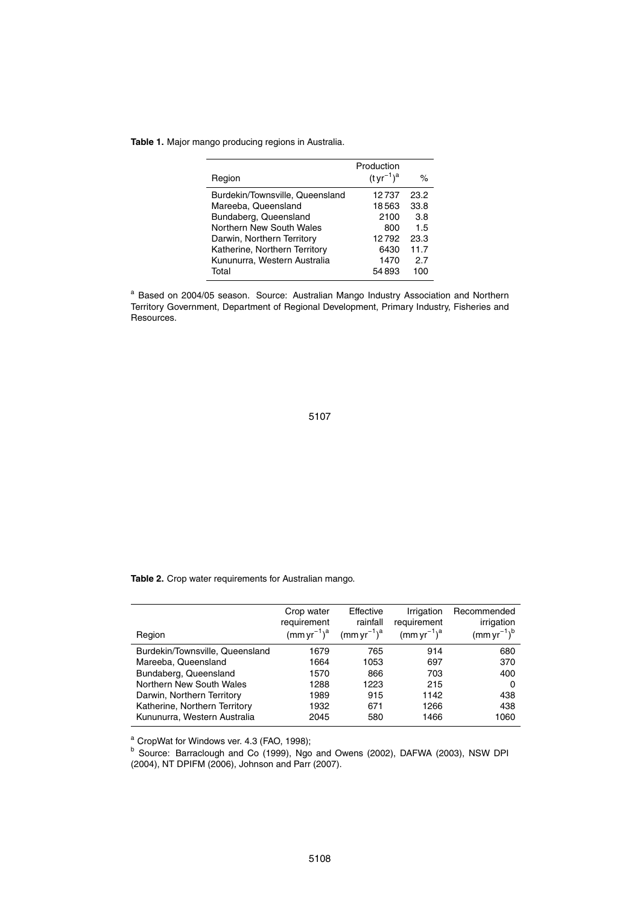#### **Table 1.** Major mango producing regions in Australia.

| Region                          | Production<br>$(tyr^{-1})^a$ | ℅    |
|---------------------------------|------------------------------|------|
| Burdekin/Townsville, Queensland | 12737                        | 23.2 |
| Mareeba, Queensland             | 18563                        | 33.8 |
| Bundaberg, Queensland           | 2100                         | 3.8  |
| Northern New South Wales        | 800                          | 1.5  |
| Darwin, Northern Territory      | 12792                        | 23.3 |
| Katherine, Northern Territory   | 6430                         | 11.7 |
| Kununurra, Western Australia    | 1470                         | 2.7  |
| Total                           | 54893                        | 100  |

<sup>a</sup> Based on 2004/05 season. Source: Australian Mango Industry Association and Northern Territory Government, Department of Regional Development, Primary Industry, Fisheries and Resources.

5107

**Table 2.** Crop water requirements for Australian mango.

| Region                          | Crop water<br>requirement<br>$(mm yr^{-1})^a$ | Effective<br>rainfall<br>$(mm yr^{-1})^a$ | Irrigation<br>requirement<br>$(mm yr^{-1})^a$ | Recommended<br>irrigation<br>$(mm yr^{-1})^b$ |
|---------------------------------|-----------------------------------------------|-------------------------------------------|-----------------------------------------------|-----------------------------------------------|
| Burdekin/Townsville, Queensland | 1679                                          | 765                                       | 914                                           | 680                                           |
| Mareeba, Queensland             | 1664                                          | 1053                                      | 697                                           | 370                                           |
| Bundaberg, Queensland           | 1570                                          | 866                                       | 703                                           | 400                                           |
| Northern New South Wales        | 1288                                          | 1223                                      | 215                                           | 0                                             |
| Darwin, Northern Territory      | 1989                                          | 915                                       | 1142                                          | 438                                           |
| Katherine, Northern Territory   | 1932                                          | 671                                       | 1266                                          | 438                                           |
| Kununurra, Western Australia    | 2045                                          | 580                                       | 1466                                          | 1060                                          |

<sup>a</sup> CropWat for Windows ver. 4.3 (FAO, 1998);

<sup>b</sup> Source: Barraclough and Co (1999), Ngo and Owens (2002), DAFWA (2003), NSW DPI (2004), NT DPIFM (2006), Johnson and Parr (2007).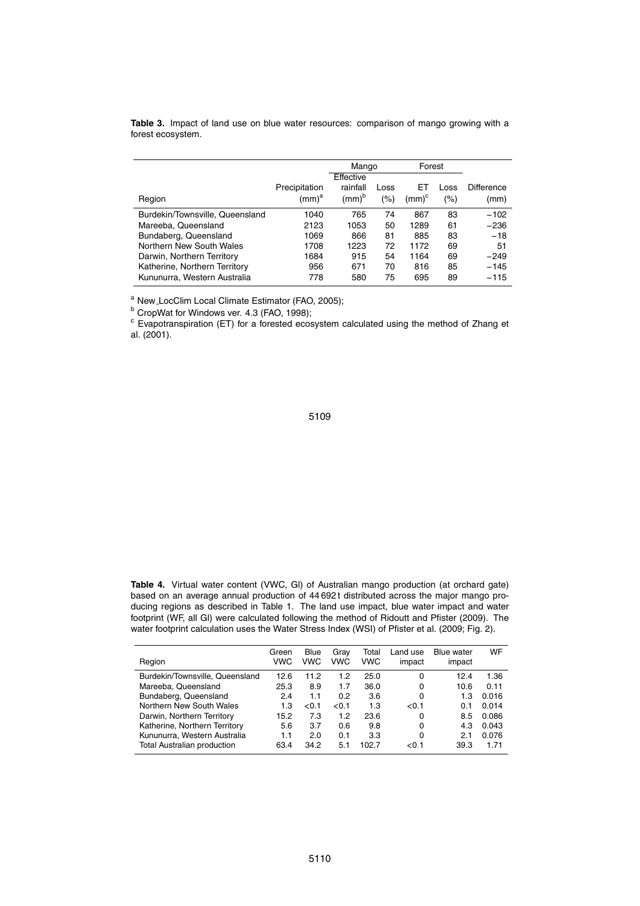|                                 |               | Mango                 |      | Forest     |      |            |
|---------------------------------|---------------|-----------------------|------|------------|------|------------|
|                                 |               | Effective             |      |            |      |            |
|                                 | Precipitation | rainfall              | Loss | EТ         | _OSS | Difference |
| Region                          | $(mm)^a$      | $\text{(mm)}^{\rm b}$ | (%)  | $(mm)^{c}$ | (%)  | (mm)       |
| Burdekin/Townsville, Queensland | 1040          | 765                   | 74   | 867        | 83   | $-102$     |
| Mareeba, Queensland             | 2123          | 1053                  | 50   | 1289       | 61   | $-236$     |
| Bundaberg, Queensland           | 1069          | 866                   | 81   | 885        | 83   | $-18$      |
| Northern New South Wales        | 1708          | 1223                  | 72   | 1172       | 69   | 51         |
| Darwin, Northern Territory      | 1684          | 915                   | 54   | 1164       | 69   | $-249$     |
| Katherine, Northern Territory   | 956           | 671                   | 70   | 816        | 85   | $-145$     |
| Kununurra, Western Australia    | 778           | 580                   | 75   | 695        | 89   | $-115$     |

**Table 3.** Impact of land use on blue water resources: comparison of mango growing with a forest ecosystem.

a New\_LocClim Local Climate Estimator (FAO, 2005);

b CropWat for Windows ver. 4.3 (FAO, 1998);

<sup>c</sup> Evapotranspiration (ET) for a forested ecosystem calculated using the method of Zhang et al. (2001).

# 5109

**Table 4.** Virtual water content (VWC, Gl) of Australian mango production (at orchard gate) based on an average annual production of 44 692 t distributed across the major mango producing regions as described in Table 1. The land use impact, blue water impact and water footprint (WF, all Gl) were calculated following the method of Ridoutt and Pfister (2009). The water footprint calculation uses the Water Stress Index (WSI) of Pfister et al. (2009; Fig. 2).

| Region                             | Green<br>VWC | <b>Blue</b><br><b>VWC</b> | Grav<br><b>VWC</b> | Total<br><b>VWC</b> | Land use<br>impact | <b>Blue water</b><br>impact | WF    |
|------------------------------------|--------------|---------------------------|--------------------|---------------------|--------------------|-----------------------------|-------|
| Burdekin/Townsville, Queensland    | 12.6         | 11.2                      | 1.2                | 25.0                | 0                  | 12.4                        | 1.36  |
| Mareeba, Queensland                | 25.3         | 8.9                       | 1.7                | 36.0                | 0                  | 10.6                        | 0.11  |
| Bundaberg, Queensland              | 2.4          | 1.1                       | 0.2                | 3.6                 | 0                  | 1.3                         | 0.016 |
| Northern New South Wales           | 1.3          | < 0.1                     | < 0.1              | 1.3                 | < 0.1              | 0.1                         | 0.014 |
| Darwin, Northern Territory         | 15.2         | 7.3                       | 1.2                | 23.6                | 0                  | 8.5                         | 0.086 |
| Katherine, Northern Territory      | 5.6          | 3.7                       | 0.6                | 9.8                 | 0                  | 4.3                         | 0.043 |
| Kununurra, Western Australia       | 1.1          | 2.0                       | 0.1                | 3.3                 | 0                  | 2.1                         | 0.076 |
| <b>Total Australian production</b> | 63.4         | 34.2                      | 5.1                | 102.7               | 0.1                | 39.3                        | 1.71  |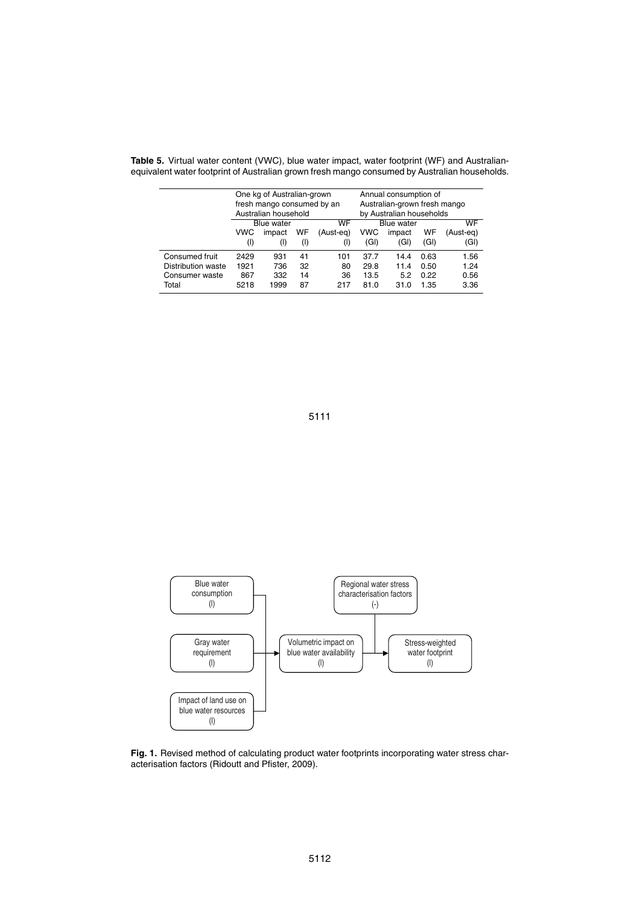|                    | One kg of Australian-grown<br>fresh mango consumed by an<br>Australian household |                  |       |           | Annual consumption of<br>Australian-grown fresh mango<br>by Australian households |                   |      |           |
|--------------------|----------------------------------------------------------------------------------|------------------|-------|-----------|-----------------------------------------------------------------------------------|-------------------|------|-----------|
|                    |                                                                                  | WF<br>Blue water |       |           |                                                                                   | <b>Blue</b> water |      |           |
|                    | VWC                                                                              | impact           | WF    | (Aust-eg) | <b>VWC</b>                                                                        | impact            | WF   | (Aust-eg) |
|                    | (1)                                                                              | $($ l            | $($ l | (I)       | (GI)                                                                              | (GI)              | (GI) | (GI)      |
| Consumed fruit     | 2429                                                                             | 931              | 41    | 101       | 37.7                                                                              | 14.4              | 0.63 | 1.56      |
| Distribution waste | 1921                                                                             | 736              | 32    | 80        | 29.8                                                                              | 11.4              | 0.50 | 1.24      |
| Consumer waste     | 867                                                                              | 332              | 14    | 36        | 13.5                                                                              | 5.2               | 0.22 | 0.56      |
| Total              | 5218                                                                             | 1999             | 87    | 217       | 81.0                                                                              | 31.0              | 1.35 | 3.36      |

**Table 5.** Virtual water content (VWC), blue water impact, water footprint (WF) and Australianequivalent water footprint of Australian grown fresh mango consumed by Australian households.

5111



Fig. 1. Revised method of calculating product water footprints incorporating water stress characterisation factors (Ridoutt and Pfister, 2009).